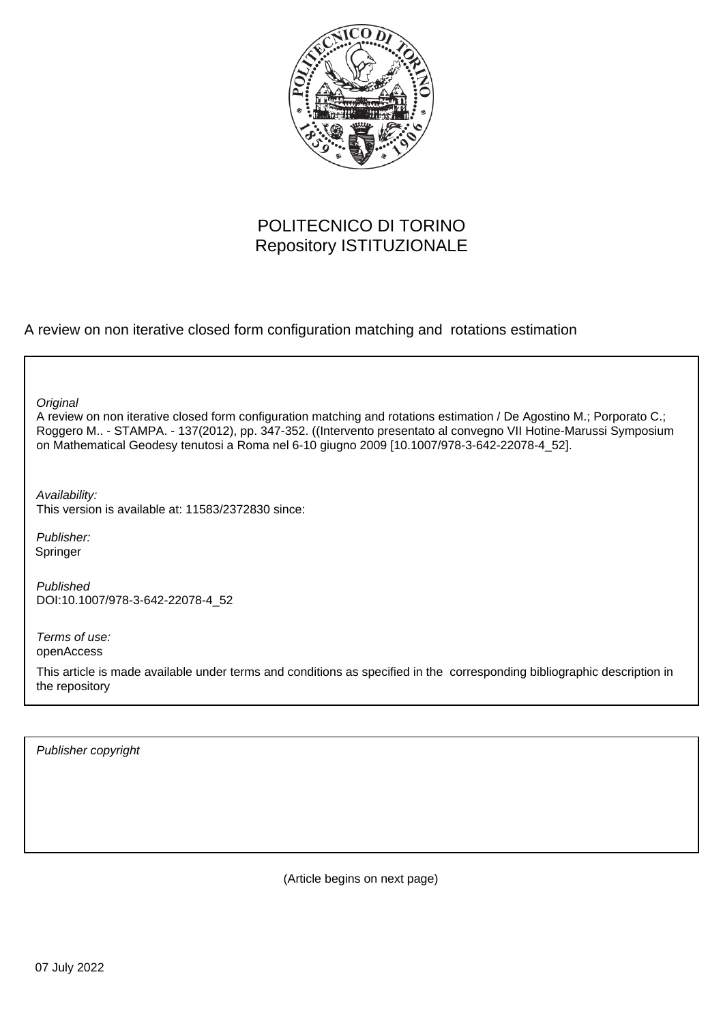

# POLITECNICO DI TORINO Repository ISTITUZIONALE

A review on non iterative closed form configuration matching and rotations estimation

**Original** 

A review on non iterative closed form configuration matching and rotations estimation / De Agostino M.; Porporato C.; Roggero M.. - STAMPA. - 137(2012), pp. 347-352. ((Intervento presentato al convegno VII Hotine-Marussi Symposium on Mathematical Geodesy tenutosi a Roma nel 6-10 giugno 2009 [10.1007/978-3-642-22078-4\_52].

Availability: This version is available at: 11583/2372830 since:

Publisher: Springer

Published DOI:10.1007/978-3-642-22078-4\_52

Terms of use: openAccess

This article is made available under terms and conditions as specified in the corresponding bibliographic description in the repository

Publisher copyright

(Article begins on next page)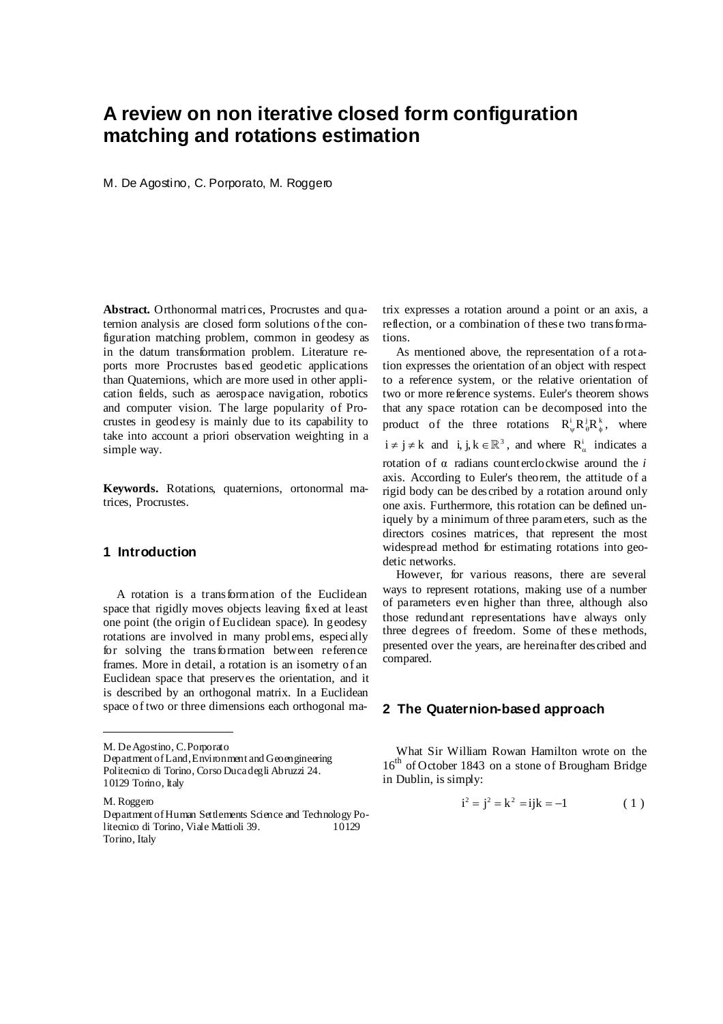# **A review on non iterative closed form configuration matching and rotations estimation**

M. De Agostino, C. Porporato, M. Roggero

**Abstract.** Orthonormal matrices, Procrustes and quaternion analysis are closed form solutions of the configuration matching problem, common in geodesy as in the datum transformation problem. Literature reports more Procrustes based geodetic applications than Quaternions, which are more used in other application fields, such as aerospace navigation, robotics and computer vision. The large popularity of Procrustes in geodesy is mainly due to its capability to take into account a priori observation weighting in a simple way.

**Keywords.** Rotations, quaternions, ortonormal matrices, Procrustes.

## **1 Introduction**

A rotation is a transformation of the Euclidean space that rigidly moves objects leaving fixed at least one point (the origin of Euclidean space). In geodesy rotations are involved in many problems, especially for solving the transformation between reference frames. More in detail, a rotation is an isometry of an Euclidean space that preserves the orientation, and it is described by an orthogonal matrix. In a Euclidean space of two or three dimensions each orthogonal ma-

M. De Agostino, C. Porporato

M. Roggero

trix expresses a rotation around a point or an axis, a reflection, or a combination of these two transformations.

As mentioned above, the representation of a rot ation expresses the orientation of an object with respect to a reference system, or the relative orientation of two or more reference systems. Euler's theorem shows that any space rotation can be decomposed into the product of the three rotations  $R_{\mu}^{i} R_{\mu}^{j} R_{\mu}^{k}$ , where  $i \neq j \neq k$  and  $i, j, k \in \mathbb{R}^3$ , and where  $R^i_\alpha$  indicates a rotation of  $\alpha$  radians counterclockwise around the *i* axis. According to Euler's theorem, the attitude of a rigid body can be described by a rotation around only one axis. Furthermore, this rotation can be defined uniquely by a minimum of three parameters, such as the directors cosines matrices, that represent the most widespread method for estimating rotations into geodetic networks.

However, for various reasons, there are several ways to represent rotations, making use of a number of parameters even higher than three, although also those redundant representations have always only three degrees of freedom. Some of these methods, presented over the years, are hereinafter described and compared.

### **2 The Quaternion-based approach**

What Sir William Rowan Hamilton wrote on the 16<sup>th</sup> of October 1843 on a stone of Brougham Bridge in Dublin, is simply:

$$
i^2 = j^2 = k^2 = ijk = -1
$$
 (1)

Department of Land,Environment and Geoengineering Politecnico di Torino, Corso Duca degli Abruzzi 24. 10129 Torino, Italy

Department of Human Settlements Science and Technology Politecnico di Torino, Viale Mattioli 39. 10129 Torino, Italy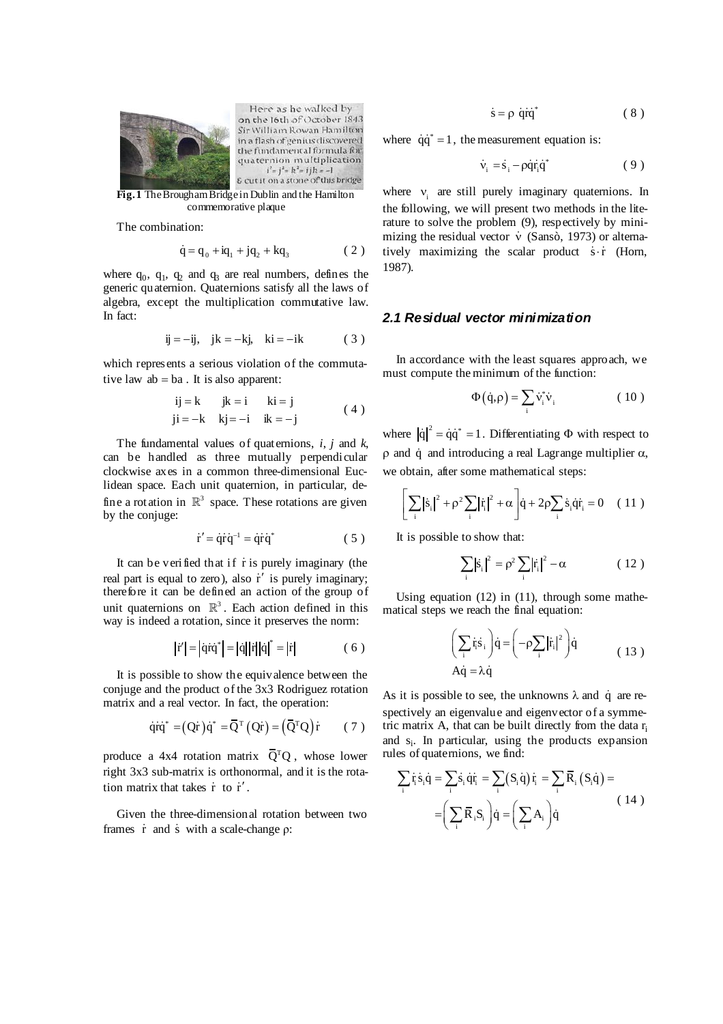

Here as he walked by on the 16th of October 1843 Sir William Rowan Hamilton in a flash of genius discovered the fundamental formula for quaternion multiplication  $i^2 = j^2 = k^2 = ijk = -1$ & cut it on a stone of this bridge

**Fig. 1** The Brougham Bridge in Dublin and the Hamilton commemorative plaque

The combination:

$$
\dot{q} = q_0 + iq_1 + jq_2 + kq_3 \tag{2}
$$

where  $q_0$ ,  $q_1$ ,  $q_2$  and  $q_3$  are real numbers, defines the generic quaternion. Quaternions satisfy all the laws of algebra, except the multiplication commutative law. In fact:

$$
ij = -ij, \quad jk = -kj, \quad ki = -ik \tag{3}
$$

which represents a serious violation of the commutative law  $ab = ba$ . It is also apparent:

$$
ij=k \t jk=i \t ki=j \t j=-k \t j=-i \t ki=-j \t (4)
$$

The fundamental values of quaternions, *i*, *j* and *k*, can be handled as three mutually perpendicular clockwise axes in a common three-dimensional Euclidean space. Each unit quaternion, in particular, define a rotation in  $\mathbb{R}^3$  space. These rotations are given by the conjuge:

$$
\dot{\mathbf{r}}' = \dot{\mathbf{q}} \dot{\mathbf{r}} \dot{\mathbf{q}}^{-1} = \dot{\mathbf{q}} \dot{\mathbf{r}} \dot{\mathbf{q}}^*
$$
 (5)

It can be verified that if  $\dot{r}$  is purely imaginary (the real part is equal to zero), also  $\dot{r}$  is purely imaginary; therefore it can be defined an action of the group of unit quaternions on  $\mathbb{R}^3$ . Each action defined in this way is indeed a rotation, since it preserves the norm:

$$
|\dot{\mathbf{r}}'| = |\dot{\mathbf{q}}\dot{\mathbf{r}}\dot{\mathbf{q}}^*| = |\dot{\mathbf{q}}||\dot{\mathbf{r}}||\dot{\mathbf{q}}|^* = |\dot{\mathbf{r}}|
$$
 (6)

It is possible to show the equivalence between the conjuge and the product of the 3x3 Rodriguez rotation matrix and a real vector. In fact, the operation:

$$
\dot{\mathbf{q}}\dot{\mathbf{q}}^* = (\mathbf{Q}\dot{\mathbf{r}})\dot{\mathbf{q}}^* = \mathbf{\bar{Q}}^{\mathrm{T}}(\mathbf{Q}\dot{\mathbf{r}}) = (\mathbf{\bar{Q}}^{\mathrm{T}}\mathbf{Q})\dot{\mathbf{r}} \qquad (7)
$$

produce a 4x4 rotation matrix  $\overline{Q}^{T}Q$ , whose lower right 3x3 sub-matrix is orthonormal, and it is the rotation matrix that takes  $\dot{r}$  to  $\dot{r}'$ .

Given the three-dimensional rotation between two frames  $\dot{r}$  and  $\dot{s}$  with a scale-change  $\rho$ :

$$
\dot{s} = \rho \dot{q} \dot{r} \dot{q}^* \tag{8}
$$

where  $\dot{q}\dot{q}^* = 1$ , the measurement equation is:

$$
\dot{v}_i = \dot{s}_i - \rho \dot{q} \dot{r}_i \dot{q}^*
$$
 (9)

where  $v_i$  are still purely imaginary quaternions. In the following, we will present two methods in the literature to solve the problem (9), respectively by minimizing the residual vector  $\dot{v}$  (Sansò, 1973) or alternatively maximizing the scalar product  $\dot{s} \cdot \dot{r}$  (Horn, 1987).

#### *2.1 Residual vector minimization*

In accordance with the least squares approach, we must compute the minimum of the function:

$$
\Phi(\dot{\mathbf{q}}, \rho) = \sum_{i} \dot{\mathbf{v}}_{i}^{*} \dot{\mathbf{v}}_{i} \tag{10}
$$

where  $|\dot{q}|^2 = \dot{q}\dot{q}^* = 1$ . Differentiating  $\Phi$  with respect to  $\rho$  and  $\dot{q}$  and introducing a real Lagrange multiplier  $\alpha$ , we obtain, after some mathematical steps:

$$
\left[\sum_{i} |\dot{s}_{i}|^{2} + \rho^{2} \sum_{i} |\dot{r}_{i}|^{2} + \alpha \right] \dot{q} + 2\rho \sum_{i} \dot{s}_{i} \dot{q} \dot{r}_{i} = 0 \quad (11)
$$

It is possible to show that:

$$
\sum_{i} |\dot{s}_{i}|^{2} = \rho^{2} \sum_{i} |\dot{r}_{i}|^{2} - \alpha \qquad (12)
$$

Using equation  $(12)$  in  $(11)$ , through some mathematical steps we reach the final equation:

$$
\left(\sum_{i} \dot{\mathbf{r}}_{i} \dot{\mathbf{s}}_{i}\right) \dot{\mathbf{q}} = \left(-\rho \sum_{i} |\dot{\mathbf{r}}_{i}|^{2}\right) \dot{\mathbf{q}} \tag{13}
$$
\n
$$
A \dot{\mathbf{q}} = \lambda \dot{\mathbf{q}}
$$

As it is possible to see, the unknowns  $\lambda$  and q are respectively an eigenvalue and eigenvector of a symmetric matrix A, that can be built directly from the data  $r_i$ and  $s_i$ . In particular, using the products expansion rules of quaternions, we find:

$$
\sum_{i} \dot{\mathbf{r}}_{i} \dot{\mathbf{s}}_{i} \dot{\mathbf{q}} = \sum_{i} \dot{\mathbf{s}}_{i} \dot{\mathbf{q}} \dot{\mathbf{r}}_{i} = \sum_{i} (S_{i} \dot{\mathbf{q}}) \dot{\mathbf{r}}_{i} = \sum_{i} \overline{R}_{i} (S_{i} \dot{\mathbf{q}}) =
$$

$$
= \left( \sum_{i} \overline{R}_{i} S_{i} \right) \dot{\mathbf{q}} = \left( \sum_{i} A_{i} \right) \dot{\mathbf{q}} \tag{14}
$$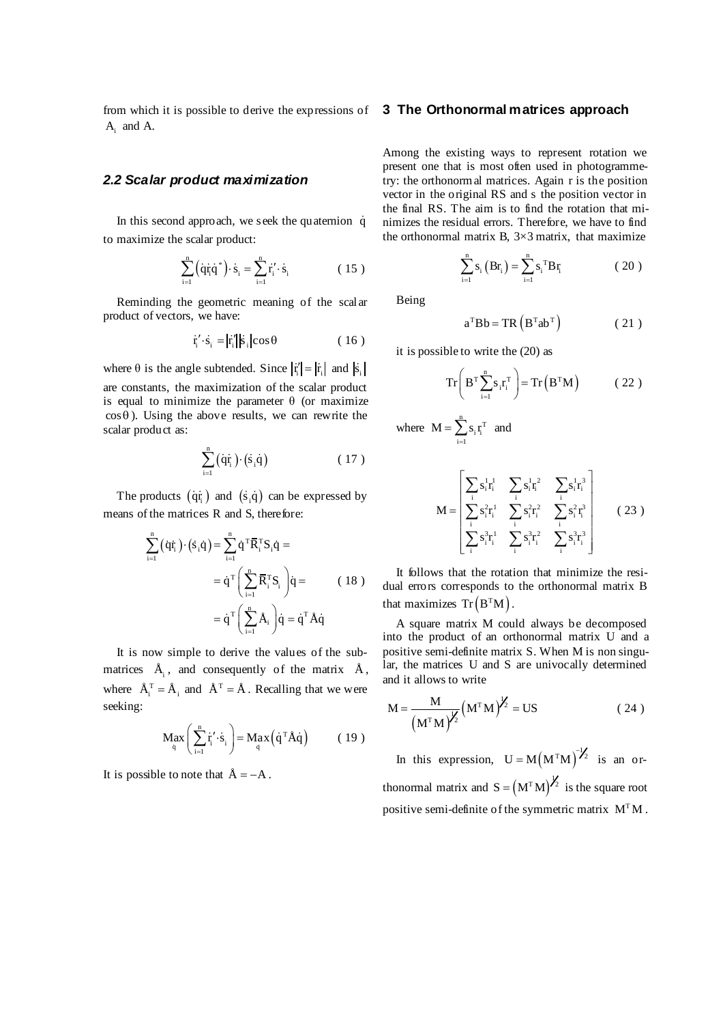from which it is possible to derive the expressions of **3 The Orthonormal matrices approach**  $A_i$  and A.

#### *2.2 Scalar product maximization*

In this second approach, we seek the quaternion  $\dot{q}$ to maximize the scalar product:

$$
\sum_{i=1}^{n} (\dot{q}\dot{r}_{i}\dot{q}^{*}) \cdot \dot{s}_{i} = \sum_{i=1}^{n} \dot{r}_{i} \cdot \dot{s}_{i}
$$
 (15)

Reminding the geometric meaning of the scalar product of vectors, we have:

$$
\dot{\mathbf{r}}' \cdot \dot{\mathbf{s}}_i = |\dot{\mathbf{r}}'_i| |\dot{\mathbf{s}}_i| \cos \theta \qquad (16)
$$

where  $\theta$  is the angle subtended. Since  $|\vec{r}| = |\vec{r}_i|$  and  $|\vec{s}_i|$ are constants, the maximization of the scalar product is equal to minimize the parameter θ (or maximize  $\cos \theta$ ). Using the above results, we can rewrite the scalar product as:

$$
\sum_{i=1}^{n} (\dot{q}\dot{r}_{i}) \cdot (\dot{s}_{i}\dot{q}) \tag{17}
$$

The products  $(\dot{q}\dot{r}_i)$  and  $(\dot{s}_i\dot{q})$  can be expressed by means of the matrices R and S, therefore:

$$
\sum_{i=1}^{n} (\dot{q}\dot{r}_{i}) \cdot (\dot{s}_{i}\dot{q}) = \sum_{i=1}^{n} \dot{q}^{T} \overline{R}_{i}^{T} S_{i} \dot{q} =
$$

$$
= \dot{q}^{T} \left( \sum_{i=1}^{n} \overline{R}_{i}^{T} S_{i} \right) \dot{q} =
$$

$$
= \dot{q}^{T} \left( \sum_{i=1}^{n} \dot{A}_{i} \right) \dot{q} = \dot{q}^{T} \dot{A} \dot{q}
$$
(18)

It is now simple to derive the values of the submatrices  $\tilde{A}_i$ , and consequently of the matrix  $\tilde{A}$ , where  $\hat{A}_i^T = \hat{A}_i$  and  $\hat{A}^T = \hat{A}$ . Recalling that we were seeking:

$$
M_{\tilde{q}} x \left( \sum_{i=1}^{n} \dot{r}_i' \cdot \dot{s}_i \right) = M_{\tilde{q}} x (\dot{q}^T \dot{A} \dot{q}) \qquad (19)
$$

It is possible to note that  $A = -A$ .

Among the existing ways to represent rotation we present one that is most often used in photogrammetry: the orthonormal matrices. Again r is the position vector in the original RS and s the position vector in the final RS. The aim is to find the rotation that minimizes the residual errors. Therefore, we have to find the orthonormal matrix B,  $3\times3$  matrix, that maximize

$$
\sum_{i=1}^{n} s_i (Br_i) = \sum_{i=1}^{n} s_i {^{T}Br_i}
$$
 (20)

Being

$$
a^{T}Bb = TR (B^{T}ab^{T})
$$
 (21)

it is possible to write the (20) as

$$
\operatorname{Tr}\left(\mathbf{B}^{\mathrm{T}}\sum_{i=1}^n\mathbf{s}_i\mathbf{r}_i^{\mathrm{T}}\right) = \operatorname{Tr}\left(\mathbf{B}^{\mathrm{T}}\mathbf{M}\right) \tag{22}
$$

where  $\mathbf{M} = \sum_{i=1}^{n} \mathbf{s}_i \mathbf{r}_i^T$  $M = \sum s_i r_i^T$  $=\sum_{i=1}$  s<sub>i</sub>  $r_i^T$  and

$$
M = \begin{bmatrix} \sum_{i} s_{i}^{1} r_{i}^{1} & \sum_{i} s_{i}^{1} r_{i}^{2} & \sum_{i} s_{i}^{1} r_{i}^{3} \\ \sum_{i} s_{i}^{2} r_{i}^{1} & \sum_{i} s_{i}^{2} r_{i}^{2} & \sum_{i} s_{i}^{2} r_{i}^{3} \\ \sum_{i} s_{i}^{3} r_{i}^{1} & \sum_{i} s_{i}^{3} r_{i}^{2} & \sum_{i} s_{i}^{3} r_{i}^{3} \end{bmatrix}
$$
(23)

It follows that the rotation that minimize the residual errors corresponds to the orthonormal matrix B that maximizes  $Tr(B^{T}M)$ .

A square matrix M could always be decomposed into the product of an orthonormal matrix U and a positive semi-definite matrix S. When M is non singular, the matrices U and S are univocally determined and it allows to write

$$
M = \frac{M}{\left(M^{T}M\right)^{\frac{1}{2}}} \left(M^{T}M\right)^{\frac{1}{2}} = US
$$
 (24)

In this expression,  $U = M(M^{T}M)^{-1/2}$  is an orthonormal matrix and  $S = (M^T M)^{\frac{1}{2}}$  is the square root positive semi-definite of the symmetric matrix  $M<sup>T</sup>M$ .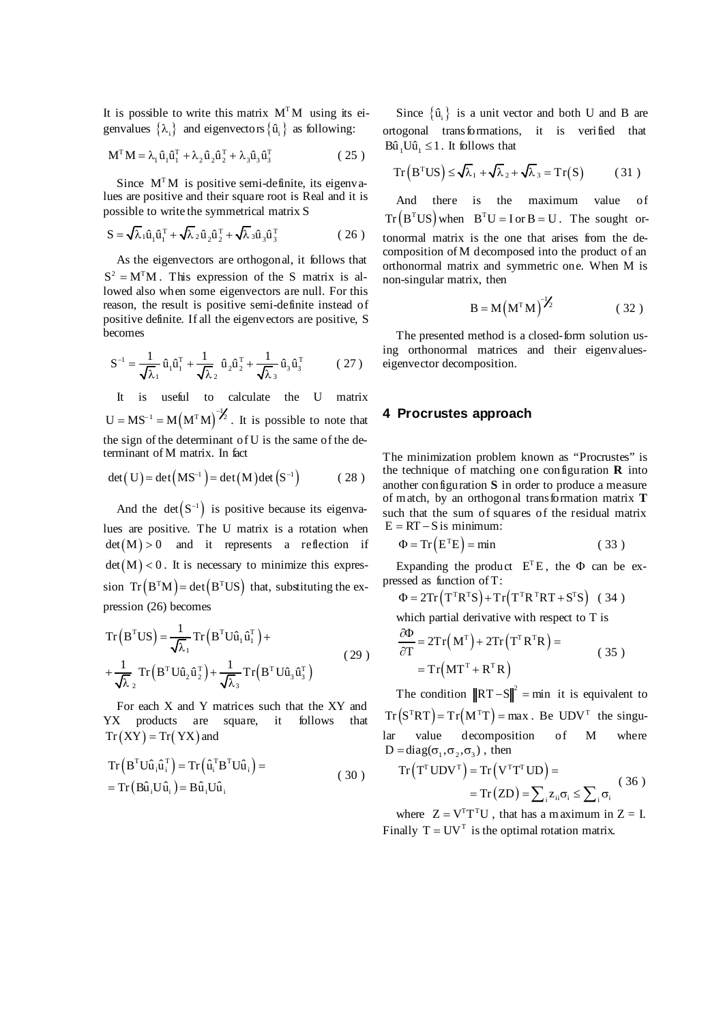It is possible to write this matrix  $M<sup>T</sup>M$  using its eigenvalues  $\{\lambda_i\}$  and eigenvectors  $\{\hat{u}_i\}$  as following:

$$
\mathbf{M}^{\mathrm{T}}\mathbf{M} = \lambda_1 \hat{\mathbf{u}}_1 \hat{\mathbf{u}}_1^{\mathrm{T}} + \lambda_2 \hat{\mathbf{u}}_2 \hat{\mathbf{u}}_2^{\mathrm{T}} + \lambda_3 \hat{\mathbf{u}}_3 \hat{\mathbf{u}}_3^{\mathrm{T}}
$$
 (25)

Since  $M<sup>T</sup>M$  is positive semi-definite, its eigenvalues are positive and their square root is Real and it is possible to write the symmetrical matrix S

$$
\mathbf{S} = \sqrt{\lambda}_1 \hat{\mathbf{u}}_1 \hat{\mathbf{u}}_1^{\mathrm{T}} + \sqrt{\lambda}_2 \hat{\mathbf{u}}_2 \hat{\mathbf{u}}_2^{\mathrm{T}} + \sqrt{\lambda}_3 \hat{\mathbf{u}}_3 \hat{\mathbf{u}}_3^{\mathrm{T}}
$$
 (26)

As the eigenvectors are orthogonal, it follows that  $S^2 = M^{\mathrm{T}}M$ . This expression of the S matrix is allowed also when some eigenvectors are null. For this reason, the result is positive semi-definite instead of positive definite. If all the eigenvectors are positive, S becomes

$$
S^{-1} = \frac{1}{\sqrt{\lambda_1}} \hat{u}_1 \hat{u}_1^T + \frac{1}{\sqrt{\lambda_2}} \hat{u}_2 \hat{u}_2^T + \frac{1}{\sqrt{\lambda_3}} \hat{u}_3 \hat{u}_3^T
$$
 (27)

It is useful to calculate the U matrix  $U = MS^{-1} = M(M^{T}M)^{-1/2}$ . It is possible to note that the sign of the determinant of U is the same of the determinant of M matrix. In fact

$$
\det(U) = \det(MS^{-1}) = \det(M)\det(S^{-1})
$$
 (28)

And the det $(S^{-1})$  is positive because its eigenvalues are positive. The U matrix is a rotation when  $det(M) > 0$  and it represents a reflection if  $det(M) < 0$ . It is necessary to minimize this expression  $Tr(B^{T}M) = det(B^{T}US)$  that, substituting the expression (26) becomes

$$
Tr(BTUS) = \frac{1}{\sqrt{\lambda_1}} Tr(BTU\hat{u}_1\hat{u}_1^T) + + \frac{1}{\sqrt{\lambda_2}} Tr(BTU\hat{u}_2\hat{u}_2^T) + \frac{1}{\sqrt{\lambda_3}} Tr(BTU\hat{u}_3\hat{u}_3^T)
$$
(29)

For each X and Y matrices such that the XY and YX products are square, it follows that  $Tr(XY) = Tr(YX)$  and

$$
Tr (BTU\hat{u}_{i}\hat{u}_{i}^{T}) = Tr (\hat{u}_{i}^{T}B^{T}U\hat{u}_{i}) =
$$
  
= Tr (B\hat{u}\_{i}U\hat{u}\_{i}) = B\hat{u}\_{i}U\hat{u}\_{i} (30)

Since  $\{\hat{u}_i\}$  is a unit vector and both U and B are ortogonal transformations, it is verified that  $B\hat{u}$ ,  $U\hat{u}$ ,  $\leq 1$ . It follows that

$$
Tr(BTUS) \le \sqrt{\lambda_1} + \sqrt{\lambda_2} + \sqrt{\lambda_3} = Tr(S)
$$
 (31)

And there is the maximum value of  $Tr(B<sup>T</sup>US)$  when  $B<sup>T</sup>U = I$  or  $B = U$ . The sought ortonormal matrix is the one that arises from the decomposition of M decomposed into the product of an orthonormal matrix and symmetric one. When M is non-singular matrix, then

$$
B = M (MT M)-1/2
$$
 (32)

The presented method is a closed-form solution using orthonormal matrices and their eigenvalueseigenvector decomposition.

#### **4 Procrustes approach**

The minimization problem known as "Procrustes" is the technique of matching one configuration **R** into another configuration **S** in order to produce a measure of match, by an orthogonal transformation matrix **T**  such that the sum of squares of the residual matrix  $E = RT - S$  is minimum:

$$
\Phi = \text{Tr}\left(E^{\text{T}}E\right) = \text{min} \tag{33}
$$

Expanding the product  $E^T E$ , the  $\Phi$  can be expressed as function of T:

 $\Phi = 2Tr(T^{\text{T}}R^{\text{T}}S) + Tr(T^{\text{T}}R^{\text{T}}RT + S^{\text{T}}S)$  (34)

which partial derivative with respect to T is

$$
\frac{\partial \Phi}{\partial T} = 2Tr(M^{T}) + 2Tr(T^{T}R^{T}R) =
$$
  
= Tr(MT^{T} + R^{T}R) (35)

The condition  $||RT - S||^2 = \min$  it is equivalent to  $Tr(S^{T}RT) = Tr(M^{T}T) = max$ . Be  $UDV^{T}$  the singular value decomposition of M where  $D = diag(\sigma_1, \sigma_2, \sigma_3)$ , then

$$
\operatorname{Tr}\left(\mathbf{T}^{\mathrm{T}}\mathbf{U}\mathbf{D}\mathbf{V}^{\mathrm{T}}\right) = \operatorname{Tr}\left(\mathbf{V}^{\mathrm{T}}\mathbf{T}^{\mathrm{T}}\mathbf{U}\mathbf{D}\right) = \\ = \operatorname{Tr}\left(\mathbf{Z}\mathbf{D}\right) = \sum_{i} z_{ii} \sigma_{i} \le \sum_{i} \sigma_{i} \tag{36}
$$

where  $Z = V<sup>T</sup>T<sup>T</sup>U$ , that has a maximum in  $Z = I$ . Finally  $T = UV<sup>T</sup>$  is the optimal rotation matrix.